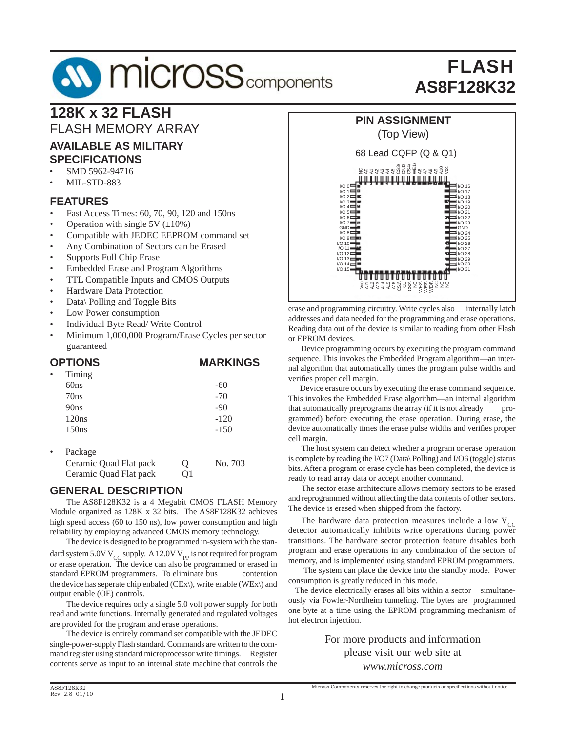# FLASH **AS8F128K32**

# **128K x 32 FLASH**

FLASH MEMORY ARRAY

#### **AVAILABLE AS MILITARY SPECIFICATIONS**

- SMD 5962-94716
- MIL-STD-883

#### **FEATURES**

- Fast Access Times: 60, 70, 90, 120 and 150ns
- Operation with single  $5V (\pm 10\%)$
- Compatible with JEDEC EEPROM command set
- Any Combination of Sectors can be Erased
- Supports Full Chip Erase
- Embedded Erase and Program Algorithms
- TTL Compatible Inputs and CMOS Outputs
- Hardware Data Protection
- Data\ Polling and Toggle Bits
- Low Power consumption
- Individual Byte Read/ Write Control
- Minimum 1,000,000 Program/Erase Cycles per sector guaranteed

#### **OPTIONS MARKINGS**

| $\bullet$ | Timing                 |   |         |
|-----------|------------------------|---|---------|
|           | 60ns                   |   | -60     |
|           | 70ns                   |   | $-70$   |
|           | 90ns                   |   | $-90$   |
|           | 120ns                  |   | $-120$  |
|           | 150ns                  |   | $-150$  |
|           | Package                |   |         |
|           | Ceramic Quad Flat pack | Q | No. 703 |
|           | Ceramic Quad Flat pack |   |         |

#### **GENERAL DESCRIPTION**

 The AS8F128K32 is a 4 Megabit CMOS FLASH Memory Module organized as 128K x 32 bits. The AS8F128K32 achieves high speed access (60 to 150 ns), low power consumption and high reliability by employing advanced CMOS memory technology.

 The device is designed to be programmed in-system with the standard system 5.0V V<sub>CC</sub> supply. A 12.0V V<sub>PP</sub> is not required for program or erase operation. The device can also be programmed or erased in standard EPROM programmers. To eliminate bus contention the device has seperate chip enbaled (CEx\), write enable (WEx\) and output enable (OE) controls.

 The device requires only a single 5.0 volt power supply for both read and write functions. Internally generated and regulated voltages are provided for the program and erase operations.

 The device is entirely command set compatible with the JEDEC single-power-supply Flash standard. Commands are written to the command register using standard microprocessor write timings. Register contents serve as input to an internal state machine that controls the



erase and programming circuitry. Write cycles also internally latch addresses and data needed for the programming and erase operations. Reading data out of the device is similar to reading from other Flash or EPROM devices.

 Device programming occurs by executing the program command sequence. This invokes the Embedded Program algorithm—an internal algorithm that automatically times the program pulse widths and verifies proper cell margin.

 Device erasure occurs by executing the erase command sequence. This invokes the Embedded Erase algorithm—an internal algorithm that automatically preprograms the array (if it is not already programmed) before executing the erase operation. During erase, the device automatically times the erase pulse widths and verifies proper cell margin.

 The host system can detect whether a program or erase operation is complete by reading the I/O7 (Data\ Polling) and I/O6 (toggle) status bits. After a program or erase cycle has been completed, the device is ready to read array data or accept another command.

 The sector erase architecture allows memory sectors to be erased and reprogrammed without affecting the data contents of other sectors. The device is erased when shipped from the factory.

The hardware data protection measures include a low  $V_{CC}$ detector automatically inhibits write operations during power transitions. The hardware sector protection feature disables both program and erase operations in any combination of the sectors of memory, and is implemented using standard EPROM programmers.

 The system can place the device into the standby mode. Power consumption is greatly reduced in this mode.

 The device electrically erases all bits within a sector simultaneously via Fowler-Nordheim tunneling. The bytes are programmed one byte at a time using the EPROM programming mechanism of hot electron injection.

> For more products and information please visit our web site at *www.micross.com*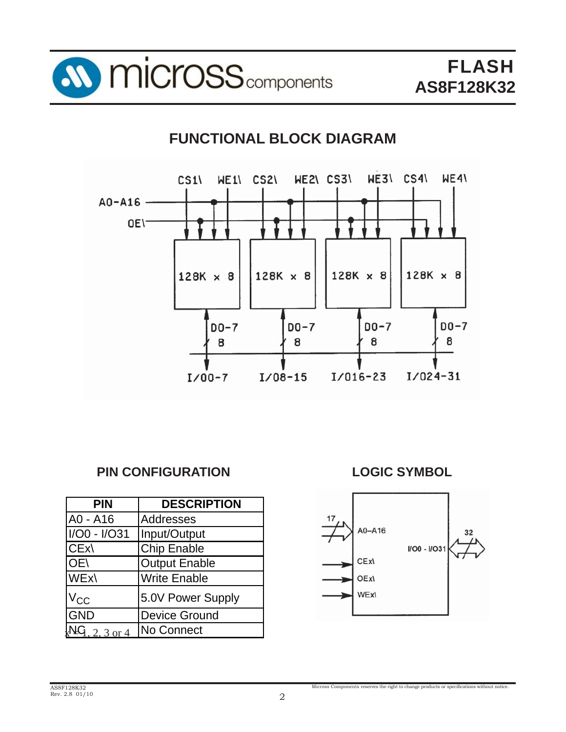

# **FUNCTIONAL BLOCK DIAGRAM**



## **PIN CONFIGURATION**

| <b>PIN</b>     | <b>DESCRIPTION</b>   |
|----------------|----------------------|
| A0 - A16       | Addresses            |
| I/O0 - I/O31   | Input/Output         |
| CEx\           | <b>Chip Enable</b>   |
| OE\            | <b>Output Enable</b> |
| <b>WEx</b>     | <b>Write Enable</b>  |
| $V_{CC}$       | 5.0V Power Supply    |
| GND            | <b>Device Ground</b> |
| $1, 2, 3$ or 4 | No Connect           |

**LOGIC SYMBOL**

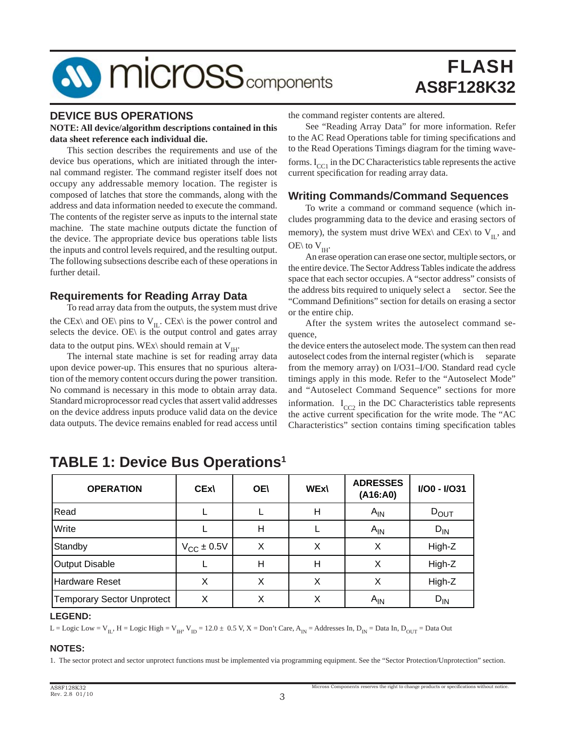# FLASH **AS8F128K32**

#### **DEVICE BUS OPERATIONS**

#### **NOTE: All device/algorithm descriptions contained in this data sheet reference each individual die.**

 This section describes the requirements and use of the device bus operations, which are initiated through the internal command register. The command register itself does not occupy any addressable memory location. The register is composed of latches that store the commands, along with the address and data information needed to execute the command. The contents of the register serve as inputs to the internal state machine. The state machine outputs dictate the function of the device. The appropriate device bus operations table lists the inputs and control levels required, and the resulting output. The following subsections describe each of these operations in further detail.

#### **Requirements for Reading Array Data**

 To read array data from the outputs, the system must drive the CEx\ and OE\ pins to  $V_{II}$ . CEx\ is the power control and selects the device. OE\ is the output control and gates array data to the output pins. WEx\ should remain at  $V_{\text{H}}$ .

 The internal state machine is set for reading array data upon device power-up. This ensures that no spurious alteration of the memory content occurs during the power transition. No command is necessary in this mode to obtain array data. Standard microprocessor read cycles that assert valid addresses on the device address inputs produce valid data on the device data outputs. The device remains enabled for read access until the command register contents are altered.

 See "Reading Array Data" for more information. Refer to the AC Read Operations table for timing specifications and to the Read Operations Timings diagram for the timing waveforms.  $I_{CC1}$  in the DC Characteristics table represents the active current specification for reading array data.

#### **Writing Commands/Command Sequences**

 To write a command or command sequence (which includes programming data to the device and erasing sectors of memory), the system must drive WEx\ and CEx\ to  $V_{II}$ , and OE\ to  $V_{IH}$ .

 An erase operation can erase one sector, multiple sectors, or the entire device. The Sector Address Tables indicate the address space that each sector occupies. A "sector address" consists of the address bits required to uniquely select a sector. See the "Command Definitions" section for details on erasing a sector or the entire chip.

 After the system writes the autoselect command sequence,

the device enters the autoselect mode. The system can then read autoselect codes from the internal register (which is separate from the memory array) on I/O31–I/O0. Standard read cycle timings apply in this mode. Refer to the "Autoselect Mode" and "Autoselect Command Sequence" sections for more information.  $I_{CC2}$  in the DC Characteristics table represents the active current specification for the write mode. The "AC Characteristics" section contains timing specification tables

Micross Components reserves the right to change products or specifications without notice.

| <b>OPERATION</b>                  | <b>CEx\</b>            | <b>OE\</b> | <b>WEx\</b> | <b>ADRESSES</b><br>(A16:A0) | I/O0 - I/O31 |
|-----------------------------------|------------------------|------------|-------------|-----------------------------|--------------|
| Read                              |                        |            | Н           | $A_{IN}$                    | $D_{OUT}$    |
| Write                             |                        | Н          |             | $A_{IN}$                    | $D_{IN}$     |
| Standby                           | $V_{\text{CC}}$ ± 0.5V | х          | X           | X                           | High-Z       |
| <b>Output Disable</b>             |                        | H          | Н           | х                           | High-Z       |
| <b>Hardware Reset</b>             |                        | х          | v           |                             | High-Z       |
| <b>Temporary Sector Unprotect</b> | Χ                      | Χ          | X           | $A_{IN}$                    | $D_{IN}$     |

## **TABLE 1: Device Bus Operations1**

#### **LEGEND:**

L = Logic Low = V<sub>II</sub>, H = Logic High = V<sub>IH</sub>, V<sub>ID</sub> = 12.0 ± 0.5 V, X = Don't Care, A<sub>IN</sub> = Addresses In, D<sub>IN</sub> = Data In, D<sub>OUT</sub> = Data Out

#### **NOTES:**

1. The sector protect and sector unprotect functions must be implemented via programming equipment. See the "Sector Protection/Unprotection" section.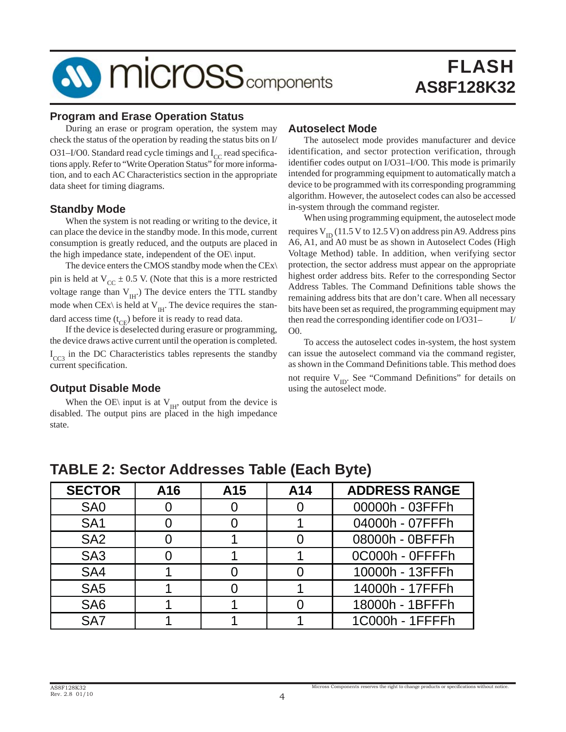#### **Program and Erase Operation Status**

 During an erase or program operation, the system may check the status of the operation by reading the status bits on I/ O31–I/O0. Standard read cycle timings and  $I_{CC}$  read specifications apply. Refer to "Write Operation Status" for more information, and to each AC Characteristics section in the appropriate data sheet for timing diagrams.

#### **Standby Mode**

 When the system is not reading or writing to the device, it can place the device in the standby mode. In this mode, current consumption is greatly reduced, and the outputs are placed in the high impedance state, independent of the OE\ input.

 The device enters the CMOS standby mode when the CEx\ pin is held at  $V_{CC} \pm 0.5$  V. (Note that this is a more restricted voltage range than  $V_{\text{H}}$ .) The device enters the TTL standby mode when CEx\ is held at  $V_{\text{IH}}$ . The device requires the standard access time  $(t_{CF})$  before it is ready to read data.

 If the device is deselected during erasure or programming, the device draws active current until the operation is completed. I<sub>CC3</sub> in the DC Characteristics tables represents the standby current specification.

#### **Output Disable Mode**

When the OE\ input is at  $V_{\text{H}}$ , output from the device is disabled. The output pins are placed in the high impedance state.

#### **Autoselect Mode**

 The autoselect mode provides manufacturer and device identification, and sector protection verification, through identifier codes output on I/O31–I/O0. This mode is primarily intended for programming equipment to automatically match a device to be programmed with its corresponding programming algorithm. However, the autoselect codes can also be accessed in-system through the command register.

 When using programming equipment, the autoselect mode requires  $V_{ID}$  (11.5 V to 12.5 V) on address pin A9. Address pins A6, A1, and A0 must be as shown in Autoselect Codes (High Voltage Method) table. In addition, when verifying sector protection, the sector address must appear on the appropriate highest order address bits. Refer to the corresponding Sector Address Tables. The Command Definitions table shows the remaining address bits that are don't care. When all necessary bits have been set as required, the programming equipment may then read the corresponding identifier code on  $I/O31 I/$ O0.

 To access the autoselect codes in-system, the host system can issue the autoselect command via the command register, as shown in the Command Definitions table. This method does not require  $V_{ID}$ . See "Command Definitions" for details on using the autoselect mode.

| <b>SECTOR</b>   | A16 | A <sub>15</sub> | A14 | <b>ADDRESS RANGE</b> |  |  |  |  |  |
|-----------------|-----|-----------------|-----|----------------------|--|--|--|--|--|
| SA <sub>0</sub> |     |                 |     | 00000h - 03FFFh      |  |  |  |  |  |
| SA <sub>1</sub> |     |                 |     | 04000h - 07FFFh      |  |  |  |  |  |
| SA <sub>2</sub> |     |                 |     | 08000h - 0BFFFh      |  |  |  |  |  |
| SA <sub>3</sub> |     |                 |     | 0C000h - OFFFFh      |  |  |  |  |  |
| SA4             |     |                 |     | 10000h - 13FFFh      |  |  |  |  |  |
| SA <sub>5</sub> |     |                 |     | 14000h - 17FFFh      |  |  |  |  |  |
| SA <sub>6</sub> |     |                 |     | 18000h - 1BFFFh      |  |  |  |  |  |
| SA7             |     |                 |     | 1C000h - 1FFFFh      |  |  |  |  |  |

## **TABLE 2: Sector Addresses Table (Each Byte)**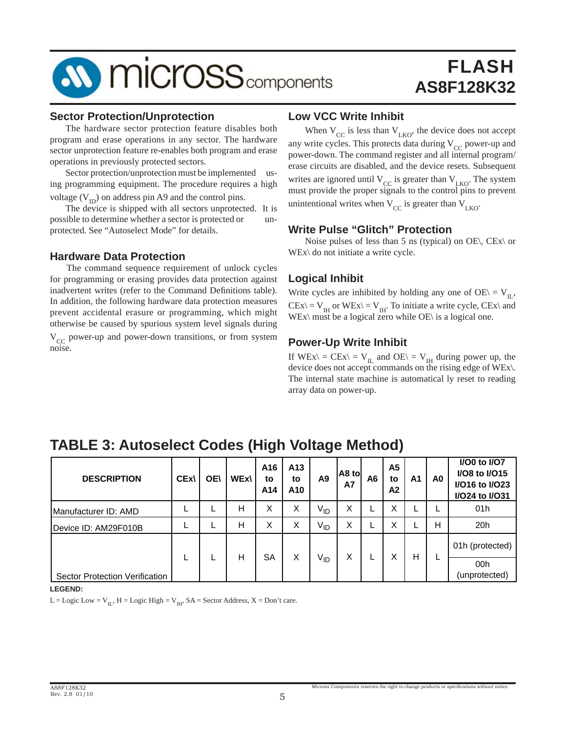# FLASH **AS8F128K32**

#### **Sector Protection/Unprotection**

 The hardware sector protection feature disables both program and erase operations in any sector. The hardware sector unprotection feature re-enables both program and erase operations in previously protected sectors.

 Sector protection/unprotection must be implemented using programming equipment. The procedure requires a high voltage  $(V_{ID})$  on address pin A9 and the control pins.

 The device is shipped with all sectors unprotected. It is possible to determine whether a sector is protected or unprotected. See "Autoselect Mode" for details.

#### **Hardware Data Protection**

 The command sequence requirement of unlock cycles for programming or erasing provides data protection against inadvertent writes (refer to the Command Definitions table). In addition, the following hardware data protection measures prevent accidental erasure or programming, which might otherwise be caused by spurious system level signals during  $V_{CC}$  power-up and power-down transitions, or from system noise.

#### **Low VCC Write Inhibit**

When  $V_{CC}$  is less than  $V_{LKO}$ , the device does not accept any write cycles. This protects data during  $V_{CC}$  power-up and power-down. The command register and all internal program/ erase circuits are disabled, and the device resets. Subsequent writes are ignored until  $V_{CC}$  is greater than  $V_{LKO}$ . The system must provide the proper signals to the control pins to prevent unintentional writes when  $V_{CC}$  is greater than  $V_{LKO}$ .

#### **Write Pulse "Glitch" Protection**

Noise pulses of less than 5 ns (typical) on OE\, CEx\ or WEx\ do not initiate a write cycle.

#### **Logical Inhibit**

Write cycles are inhibited by holding any one of OE $\vert$  = V<sub>II</sub>,  $CEx \equiv V_{IH}$  or  $WEx \equiv V_{IH}$ . To initiate a write cycle,  $CEx \land$  and WEx\ must be a logical zero while  $OE \setminus$  is a logical one.

#### **Power-Up Write Inhibit**

If  $WEx \subseteq CEx \subseteq V_{II}$  and  $OE \subseteq V_{II}$  during power up, the device does not accept commands on the rising edge of WEx\. The internal state machine is automatical ly reset to reading array data on power-up.

| <b>DESCRIPTION</b>             | <b>CEx\</b> | <b>OE\</b> | <b>WEx\</b> | A16<br>to<br>A14 | A13<br>to<br>A10 | A <sub>9</sub>  | A8 to<br><b>A7</b> | A6 | A5<br>to<br>A2    | A1 | A <sub>0</sub> | I/O0 to I/O7<br>I/O8 to I/O15<br>I/O16 to I/O23<br>I/O24 to I/O31 |  |  |                 |
|--------------------------------|-------------|------------|-------------|------------------|------------------|-----------------|--------------------|----|-------------------|----|----------------|-------------------------------------------------------------------|--|--|-----------------|
| Manufacturer ID: AMD           |             |            | Н           | Χ                | X                | V <sub>ID</sub> | X                  |    | $\checkmark$<br>v |    |                | 01h                                                               |  |  |                 |
| Device ID: AM29F010B           |             |            | Н           | Χ                | X                | V <sub>ID</sub> | X                  |    | X                 | щ  | н              | 20h                                                               |  |  |                 |
|                                |             |            |             |                  |                  | н               | SA                 |    |                   | Χ  |                | х                                                                 |  |  | 01h (protected) |
| Sector Protection Verification |             |            |             |                  | X                | V <sub>ID</sub> |                    |    |                   | Н  |                | 00h<br>(unprotected)                                              |  |  |                 |

## **TABLE 3: Autoselect Codes (High Voltage Method)**

**LEGEND:**

L = Logic Low =  $V_{II}$ , H = Logic High =  $V_{IH}$ , SA = Sector Address, X = Don't care.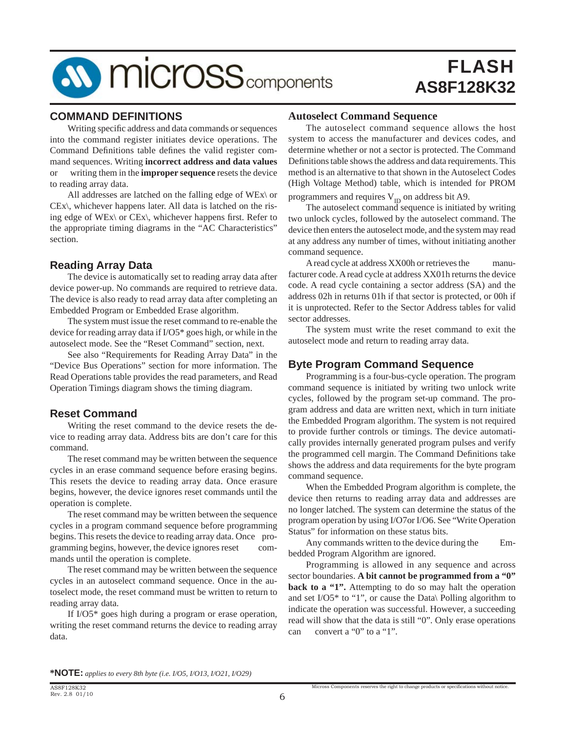

#### **COMMAND DEFINITIONS**

Writing specific address and data commands or sequences into the command register initiates device operations. The Command Definitions table defines the valid register command sequences. Writing **incorrect address and data values**  or writing them in the **improper sequence** resets the device to reading array data.

 All addresses are latched on the falling edge of WEx\ or CEx\, whichever happens later. All data is latched on the rising edge of WEx\ or CEx\, whichever happens first. Refer to the appropriate timing diagrams in the "AC Characteristics" section.

#### **Reading Array Data**

 The device is automatically set to reading array data after device power-up. No commands are required to retrieve data. The device is also ready to read array data after completing an Embedded Program or Embedded Erase algorithm.

 The system must issue the reset command to re-enable the device for reading array data if I/O5\* goes high, or while in the autoselect mode. See the "Reset Command" section, next.

 See also "Requirements for Reading Array Data" in the "Device Bus Operations" section for more information. The Read Operations table provides the read parameters, and Read Operation Timings diagram shows the timing diagram.

#### **Reset Command**

 Writing the reset command to the device resets the device to reading array data. Address bits are don't care for this command.

 The reset command may be written between the sequence cycles in an erase command sequence before erasing begins. This resets the device to reading array data. Once erasure begins, however, the device ignores reset commands until the operation is complete.

 The reset command may be written between the sequence cycles in a program command sequence before programming begins. This resets the device to reading array data. Once programming begins, however, the device ignores reset commands until the operation is complete.

 The reset command may be written between the sequence cycles in an autoselect command sequence. Once in the autoselect mode, the reset command must be written to return to reading array data.

 If I/O5\* goes high during a program or erase operation, writing the reset command returns the device to reading array data.

#### **Autoselect Command Sequence**

 The autoselect command sequence allows the host system to access the manufacturer and devices codes, and determine whether or not a sector is protected. The Command Definitions table shows the address and data requirements. This method is an alternative to that shown in the Autoselect Codes (High Voltage Method) table, which is intended for PROM programmers and requires  $V_{ID}$  on address bit A9.

 The autoselect command sequence is initiated by writing two unlock cycles, followed by the autoselect command. The device then enters the autoselect mode, and the system may read at any address any number of times, without initiating another command sequence.

 A read cycle at address XX00h or retrieves the manufacturer code. A read cycle at address XX01h returns the device code. A read cycle containing a sector address (SA) and the address 02h in returns 01h if that sector is protected, or 00h if it is unprotected. Refer to the Sector Address tables for valid sector addresses.

 The system must write the reset command to exit the autoselect mode and return to reading array data.

#### **Byte Program Command Sequence**

 Programming is a four-bus-cycle operation. The program command sequence is initiated by writing two unlock write cycles, followed by the program set-up command. The program address and data are written next, which in turn initiate the Embedded Program algorithm. The system is not required to provide further controls or timings. The device automatically provides internally generated program pulses and verify the programmed cell margin. The Command Definitions take shows the address and data requirements for the byte program command sequence.

 When the Embedded Program algorithm is complete, the device then returns to reading array data and addresses are no longer latched. The system can determine the status of the program operation by using I/O7or I/O6. See "Write Operation Status" for information on these status bits.

 Any commands written to the device during the Embedded Program Algorithm are ignored.

 Programming is allowed in any sequence and across sector boundaries. **A bit cannot be programmed from a "0" back to a "1".** Attempting to do so may halt the operation and set I/O5\* to "1", or cause the Data\ Polling algorithm to indicate the operation was successful. However, a succeeding read will show that the data is still "0". Only erase operations can convert a "0" to a "1".

**\*NOTE:** *applies to every 8th byte (i.e. I/O5, I/O13, I/O21, I/O29)*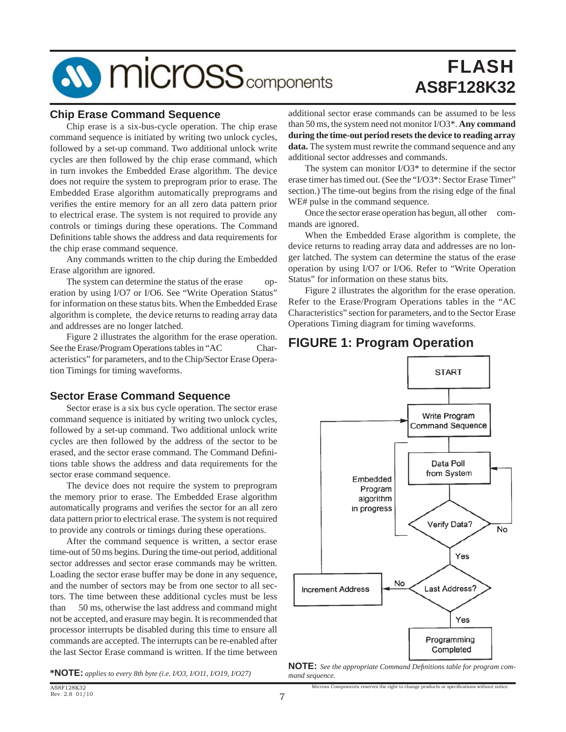# FLASH **AS8F128K32**

#### **Chip Erase Command Sequence**

 Chip erase is a six-bus-cycle operation. The chip erase command sequence is initiated by writing two unlock cycles, followed by a set-up command. Two additional unlock write cycles are then followed by the chip erase command, which in turn invokes the Embedded Erase algorithm. The device does not require the system to preprogram prior to erase. The Embedded Erase algorithm automatically preprograms and verifies the entire memory for an all zero data pattern prior to electrical erase. The system is not required to provide any controls or timings during these operations. The Command Definitions table shows the address and data requirements for the chip erase command sequence.

 Any commands written to the chip during the Embedded Erase algorithm are ignored.

 The system can determine the status of the erase operation by using I/O7 or I/O6. See "Write Operation Status" for information on these status bits. When the Embedded Erase algorithm is complete, the device returns to reading array data and addresses are no longer latched.

 Figure 2 illustrates the algorithm for the erase operation. See the Erase/Program Operations tables in "AC Characteristics" for parameters, and to the Chip/Sector Erase Operation Timings for timing waveforms.

#### **Sector Erase Command Sequence**

 Sector erase is a six bus cycle operation. The sector erase command sequence is initiated by writing two unlock cycles, followed by a set-up command. Two additional unlock write cycles are then followed by the address of the sector to be erased, and the sector erase command. The Command Definitions table shows the address and data requirements for the sector erase command sequence.

 The device does not require the system to preprogram the memory prior to erase. The Embedded Erase algorithm automatically programs and verifies the sector for an all zero data pattern prior to electrical erase. The system is not required to provide any controls or timings during these operations.

 After the command sequence is written, a sector erase time-out of 50 ms begins. During the time-out period, additional sector addresses and sector erase commands may be written. Loading the sector erase buffer may be done in any sequence, and the number of sectors may be from one sector to all sectors. The time between these additional cycles must be less than 50 ms, otherwise the last address and command might not be accepted, and erasure may begin. It is recommended that processor interrupts be disabled during this time to ensure all commands are accepted. The interrupts can be re-enabled after the last Sector Erase command is written. If the time between

additional sector erase commands can be assumed to be less than 50 ms, the system need not monitor I/O3\*. **Any command during the time-out period resets the device to reading array data.** The system must rewrite the command sequence and any additional sector addresses and commands.

 The system can monitor I/O3\* to determine if the sector erase timer has timed out. (See the "I/O3\*: Sector Erase Timer" section.) The time-out begins from the rising edge of the final WE# pulse in the command sequence.

Once the sector erase operation has begun, all other commands are ignored.

 When the Embedded Erase algorithm is complete, the device returns to reading array data and addresses are no longer latched. The system can determine the status of the erase operation by using I/O7 or I/O6. Refer to "Write Operation Status" for information on these status bits.

 Figure 2 illustrates the algorithm for the erase operation. Refer to the Erase/Program Operations tables in the "AC Characteristics" section for parameters, and to the Sector Erase Operations Timing diagram for timing waveforms.

## **FIGURE 1: Program Operation**



**NOTE:** *See the appropriate Command Definitions table for program com-*<br>**\*NOTE:** *applies to every 8th byte (i.e. I/O3, I/O11, I/O19, I/O27) mand sequence.*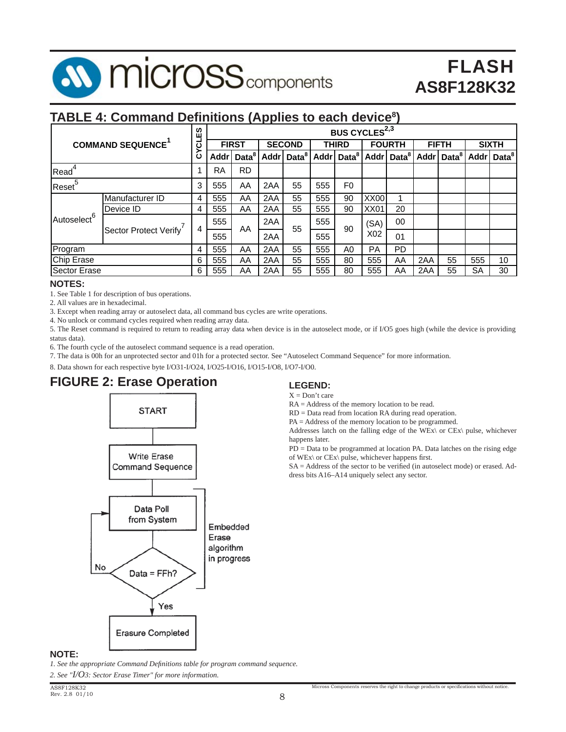

### **TABLE 4: Command Definitions (Applies to each device<sup>8</sup>)**

|                         |                         |          |           | BUS CYCLES <sup>2,3</sup> |               |                        |              |                          |                  |                        |              |                        |              |                          |
|-------------------------|-------------------------|----------|-----------|---------------------------|---------------|------------------------|--------------|--------------------------|------------------|------------------------|--------------|------------------------|--------------|--------------------------|
|                         | <b>COMMAND SEQUENCE</b> | LES<br>ن |           | <b>FIRST</b>              | <b>SECOND</b> |                        | <b>THIRD</b> |                          | <b>FOURTH</b>    |                        | <b>FIFTH</b> |                        | <b>SIXTH</b> |                          |
|                         |                         | ن        |           | Addr   Data <sup>8</sup>  |               | Addr Data <sup>8</sup> |              | Addr   Data <sup>8</sup> |                  | Addr Data <sup>8</sup> |              | Addr Data <sup>8</sup> |              | Addr   Data <sup>8</sup> |
| Read <sup>4</sup>       |                         |          | <b>RA</b> | <b>RD</b>                 |               |                        |              |                          |                  |                        |              |                        |              |                          |
| Reset <sup>5</sup>      |                         | 3        | 555       | AA                        | 2AA           | 55                     | 555          | F0                       |                  |                        |              |                        |              |                          |
|                         | Manufacturer ID         | 4        | 555       | AA                        | 2AA           | 55                     | 555          | 90                       | XX00             |                        |              |                        |              |                          |
|                         | Device ID               | 4        | 555       | AA                        | 2AA           | 55                     | 555          | 90                       | <b>XX01</b>      | 20                     |              |                        |              |                          |
| Autoselect <sup>6</sup> | Sector Protect Verify   | 4        | 555       | AA                        | 2AA           | 55                     | 555          | 90                       | (SA)             | 00                     |              |                        |              |                          |
|                         |                         |          | 555       |                           | 2AA           |                        | 555          |                          | X <sub>0</sub> 2 | 01                     |              |                        |              |                          |
| Program                 |                         |          | 555       | AA                        | 2AA           | 55                     | 555          | A0                       | <b>PA</b>        | <b>PD</b>              |              |                        |              |                          |
| Chip Erase              |                         | 6        | 555       | AA                        | 2AA           | 55                     | 555          | 80                       | 555              | AA                     | 2AA          | 55                     | 555          | 10                       |
| <b>Sector Erase</b>     |                         | 6        | 555       | AA                        | 2AA           | 55                     | 555          | 80                       | 555              | AA                     | 2AA          | 55                     | SA           | 30                       |

#### **NOTES:**

1. See Table 1 for description of bus operations.

2. All values are in hexadecimal.

3. Except when reading array or autoselect data, all command bus cycles are write operations.

4. No unlock or command cycles required when reading array data.

5. The Reset command is required to return to reading array data when device is in the autoselect mode, or if I/O5 goes high (while the device is providing status data).

6. The fourth cycle of the autoselect command sequence is a read operation.

7. The data is 00h for an unprotected sector and 01h for a protected sector. See "Autoselect Command Sequence" for more information.

8. Data shown for each respective byte I/O31-I/O24, I/O25-I/O16, I/O15-I/O8, I/O7-I/O0.

## **FIGURE 2: Erase Operation**



#### **LEGEND:**

 $X = Don't care$ 

RA = Address of the memory location to be read.

RD = Data read from location RA during read operation.

PA = Address of the memory location to be programmed.

Addresses latch on the falling edge of the WEx\ or CEx\ pulse, whichever happens later.

PD = Data to be programmed at location PA. Data latches on the rising edge of WEx $\backslash$  or CEx $\backslash$  pulse, whichever happens first.

 $SA = Address$  of the sector to be verified (in autoselect mode) or erased. Address bits A16–A14 uniquely select any sector.

#### **NOTE:**

*1. See the appropriate Command Defi nitions table for program command sequence.*

*2. See "I/O3: Sector Erase Timer" for more information.*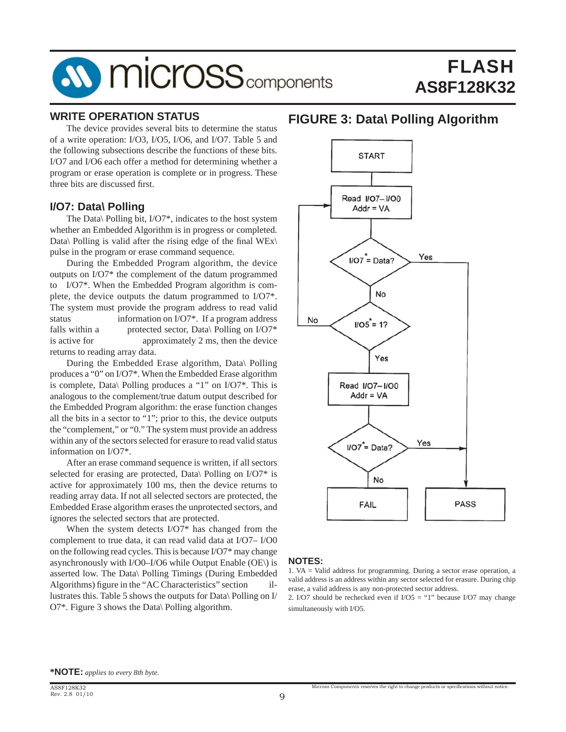# FLASH **AS8F128K32**

#### **WRITE OPERATION STATUS**

 The device provides several bits to determine the status of a write operation: I/O3, I/O5, I/O6, and I/O7. Table 5 and the following subsections describe the functions of these bits. I/O7 and I/O6 each offer a method for determining whether a program or erase operation is complete or in progress. These three bits are discussed first.

#### **I/O7: Data\ Polling**

 The Data\ Polling bit, I/O7\*, indicates to the host system whether an Embedded Algorithm is in progress or completed. Data\ Polling is valid after the rising edge of the final  $WEx\$ pulse in the program or erase command sequence.

 During the Embedded Program algorithm, the device outputs on I/O7\* the complement of the datum programmed to I/O7\*. When the Embedded Program algorithm is complete, the device outputs the datum programmed to I/O7\*. The system must provide the program address to read valid status information on I/O7<sup>\*</sup>. If a program address falls within a protected sector, Data\ Polling on I/O7\* is active for approximately 2 ms, then the device returns to reading array data.

 During the Embedded Erase algorithm, Data\ Polling produces a "0" on I/O7\*. When the Embedded Erase algorithm is complete, Data\ Polling produces a "1" on I/O7\*. This is analogous to the complement/true datum output described for the Embedded Program algorithm: the erase function changes all the bits in a sector to "1"; prior to this, the device outputs the "complement," or "0." The system must provide an address within any of the sectors selected for erasure to read valid status information on I/O7\*.

 After an erase command sequence is written, if all sectors selected for erasing are protected, Data\ Polling on I/O7<sup>\*</sup> is active for approximately 100 ms, then the device returns to reading array data. If not all selected sectors are protected, the Embedded Erase algorithm erases the unprotected sectors, and ignores the selected sectors that are protected.

 When the system detects I/O7\* has changed from the complement to true data, it can read valid data at I/O7– I/O0 on the following read cycles. This is because I/O7\* may change asynchronously with I/O0–I/O6 while Output Enable (OE\) is asserted low. The Data\ Polling Timings (During Embedded Algorithms) figure in the "AC Characteristics" section illustrates this. Table 5 shows the outputs for Data\ Polling on I/ O7\*. Figure 3 shows the Data\ Polling algorithm.

### **FIGURE 3: Data\ Polling Algorithm**



#### **NOTES:**

2. I/O7 should be rechecked even if  $I/O5 = "1"$  because I/O7 may change simultaneously with I/O5.

<sup>1.</sup> VA = Valid address for programming. During a sector erase operation, a valid address is an address within any sector selected for erasure. During chip erase, a valid address is any non-protected sector address.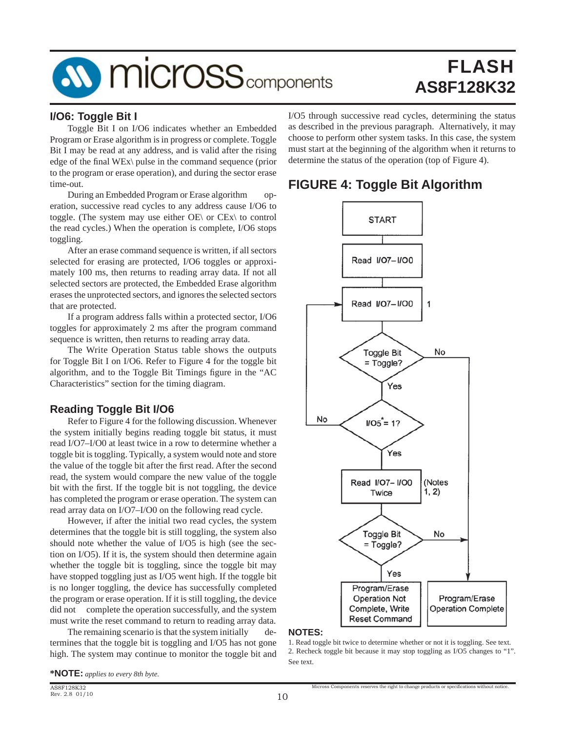# FLASH **AS8F128K32**

#### **I/O6: Toggle Bit I**

 Toggle Bit I on I/O6 indicates whether an Embedded Program or Erase algorithm is in progress or complete. Toggle Bit I may be read at any address, and is valid after the rising edge of the final WEx\ pulse in the command sequence (prior to the program or erase operation), and during the sector erase time-out.

 During an Embedded Program or Erase algorithm operation, successive read cycles to any address cause I/O6 to toggle. (The system may use either OE\ or CEx\ to control the read cycles.) When the operation is complete, I/O6 stops toggling.

 After an erase command sequence is written, if all sectors selected for erasing are protected, I/O6 toggles or approximately 100 ms, then returns to reading array data. If not all selected sectors are protected, the Embedded Erase algorithm erases the unprotected sectors, and ignores the selected sectors that are protected.

 If a program address falls within a protected sector, I/O6 toggles for approximately 2 ms after the program command sequence is written, then returns to reading array data.

 The Write Operation Status table shows the outputs for Toggle Bit I on I/O6. Refer to Figure 4 for the toggle bit algorithm, and to the Toggle Bit Timings figure in the "AC Characteristics" section for the timing diagram.

#### **Reading Toggle Bit I/O6**

 Refer to Figure 4 for the following discussion. Whenever the system initially begins reading toggle bit status, it must read I/O7–I/O0 at least twice in a row to determine whether a toggle bit is toggling. Typically, a system would note and store the value of the toggle bit after the first read. After the second read, the system would compare the new value of the toggle bit with the first. If the toggle bit is not toggling, the device has completed the program or erase operation. The system can read array data on I/O7–I/O0 on the following read cycle.

 However, if after the initial two read cycles, the system determines that the toggle bit is still toggling, the system also should note whether the value of I/O5 is high (see the section on I/O5). If it is, the system should then determine again whether the toggle bit is toggling, since the toggle bit may have stopped toggling just as I/O5 went high. If the toggle bit is no longer toggling, the device has successfully completed the program or erase operation. If it is still toggling, the device did not complete the operation successfully, and the system must write the reset command to return to reading array data.

The remaining scenario is that the system initially determines that the toggle bit is toggling and I/O5 has not gone high. The system may continue to monitor the toggle bit and I/O5 through successive read cycles, determining the status as described in the previous paragraph. Alternatively, it may choose to perform other system tasks. In this case, the system must start at the beginning of the algorithm when it returns to determine the status of the operation (top of Figure 4).

## **FIGURE 4: Toggle Bit Algorithm**



#### **NOTES:**

1. Read toggle bit twice to determine whether or not it is toggling. See text. 2. Recheck toggle bit because it may stop toggling as I/O5 changes to "1". See text.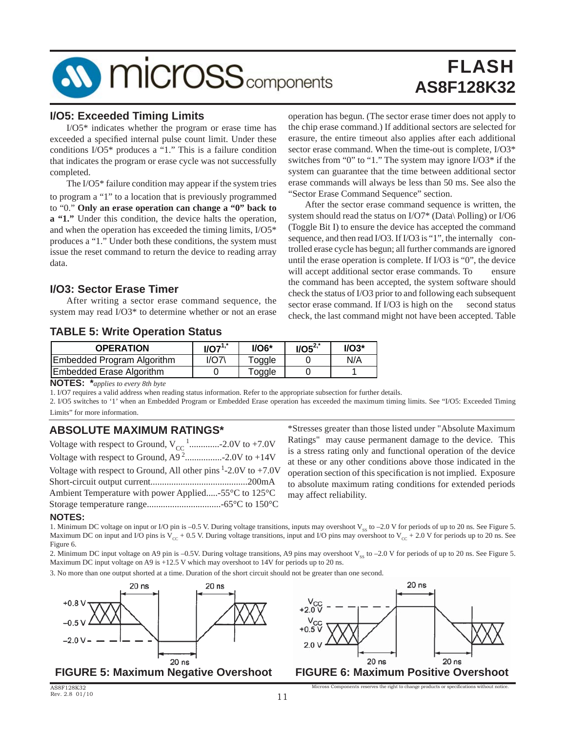

#### **I/O5: Exceeded Timing Limits**

 I/O5\* indicates whether the program or erase time has exceeded a specified internal pulse count limit. Under these conditions I/O5\* produces a "1." This is a failure condition that indicates the program or erase cycle was not successfully completed.

 The I/O5\* failure condition may appear if the system tries to program a "1" to a location that is previously programmed to "0." **Only an erase operation can change a "0" back to a "1."** Under this condition, the device halts the operation, and when the operation has exceeded the timing limits, I/O5\* produces a "1." Under both these conditions, the system must issue the reset command to return the device to reading array data.

#### **I/O3: Sector Erase Timer**

 After writing a sector erase command sequence, the system may read I/O3\* to determine whether or not an erase

#### **TABLE 5: Write Operation Status**

| <b>OPERATION</b>                  | $IO7^{1,*}$ | $1/OG*$ | $I/O5^{2,*}$ | $UO3*$ |
|-----------------------------------|-------------|---------|--------------|--------|
| <b>Embedded Program Algorithm</b> | 1/O7'       | Toggle  |              | N/A    |
| <b>Embedded Erase Algorithm</b>   |             | Γoggle  |              |        |

**NOTES: \****applies to every 8th byte*

1. I/O7 requires a valid address when reading status information. Refer to the appropriate subsection for further details.

2. I/O5 switches to '1' when an Embedded Program or Embedded Erase operation has exceeded the maximum timing limits. See "I/O5: Exceeded Timing Limits" for more information.

#### **ABSOLUTE MAXIMUM RATINGS\***

| Voltage with respect to Ground, $V_{CC}$ <sup>1</sup> -2.0V to +7.0V |
|----------------------------------------------------------------------|
|                                                                      |
| Voltage with respect to Ground, All other pins $1-2.0V$ to $+7.0V$   |
|                                                                      |
| Ambient Temperature with power Applied-55°C to 125°C                 |
|                                                                      |

\*Stresses greater than those listed under "Absolute Maximum Ratings" may cause permanent damage to the device. This is a stress rating only and functional operation of the device at these or any other conditions above those indicated in the operation section of this specification is not implied. Exposure to absolute maximum rating conditions for extended periods may affect reliability.

operation has begun. (The sector erase timer does not apply to the chip erase command.) If additional sectors are selected for erasure, the entire timeout also applies after each additional sector erase command. When the time-out is complete, I/O3\* switches from "0" to "1." The system may ignore I/O3\* if the system can guarantee that the time between additional sector erase commands will always be less than 50 ms. See also the

 After the sector erase command sequence is written, the system should read the status on I/O7\* (Data\ Polling) or I/O6 (Toggle Bit I) to ensure the device has accepted the command sequence, and then read I/O3. If I/O3 is "1", the internally controlled erase cycle has begun; all further commands are ignored until the erase operation is complete. If I/O3 is "0", the device will accept additional sector erase commands. To ensure the command has been accepted, the system software should check the status of I/O3 prior to and following each subsequent sector erase command. If I/O3 is high on the second status check, the last command might not have been accepted. Table

"Sector Erase Command Sequence" section.

#### **NOTES:**

1. Minimum DC voltage on input or I/O pin is –0.5 V. During voltage transitions, inputs may overshoot  $V_{\rm ss}$  to –2.0 V for periods of up to 20 ns. See Figure 5. Maximum DC on input and I/O pins is  $V_{cc}$  + 0.5 V. During voltage transitions, input and I/O pins may overshoot to  $V_{cc}$  + 2.0 V for periods up to 20 ns. See Figure 6.

2. Minimum DC input voltage on A9 pin is -0.5V. During voltage transitions, A9 pins may overshoot  $V_{\rm ss}$  to -2.0 V for periods of up to 20 ns. See Figure 5. Maximum DC input voltage on A9 is +12.5 V which may overshoot to 14V for periods up to 20 ns.

3. No more than one output shorted at a time. Duration of the short circuit should not be greater than one second.







Micross Components reserves the right to change products or specific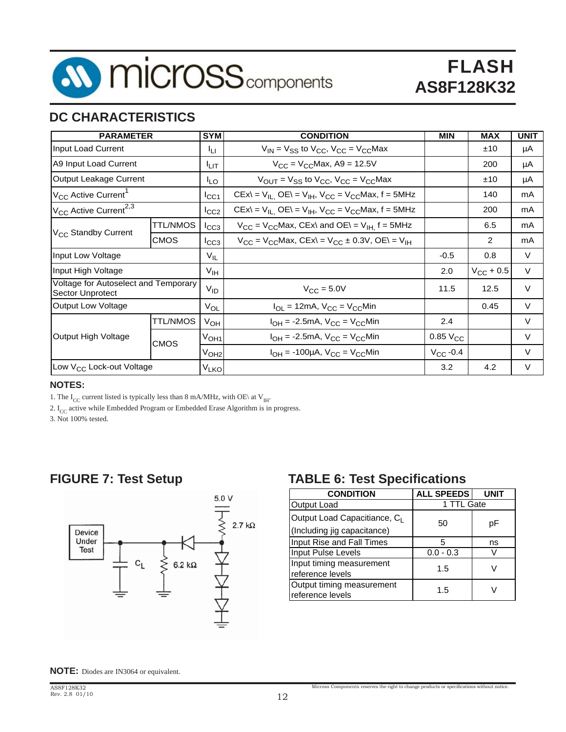

## **DC CHARACTERISTICS**

| <b>PARAMETER</b>                                         |                 | <b>SYM</b>             | <b>CONDITION</b>                                                                          | <b>MIN</b>                  | <b>MAX</b>         | <b>UNIT</b> |
|----------------------------------------------------------|-----------------|------------------------|-------------------------------------------------------------------------------------------|-----------------------------|--------------------|-------------|
| Input Load Current                                       |                 | Iц                     | $V_{IN}$ = $V_{SS}$ to $V_{CC}$ , $V_{CC}$ = $V_{CC}$ Max                                 |                             | ±10                | μA          |
| A9 Input Load Current                                    |                 | Iцт                    | $V_{CC} = V_{CC}$ Max, A9 = 12.5V                                                         |                             | 200                | μA          |
| Output Leakage Current                                   |                 | <sup>I</sup> LO        | $V_{\text{OUT}} = V_{\text{SS}}$ to $V_{\text{CC}}$ , $V_{\text{CC}} = V_{\text{CC}}$ Max |                             | ±10                | μA          |
| V <sub>CC</sub> Active Current <sup>1</sup>              |                 | ICC1                   | $CEx\ = V_{IL}$ , $OE\ = V_{IH}$ , $V_{CC} = V_{CC}$ Max, f = 5MHz                        |                             | 140                | mA          |
| V <sub>CC</sub> Active Current <sup>2,3</sup>            |                 | ICC2                   | $CEx = V_{IL}$ , $OE = V_{IH}$ , $V_{CC} = V_{CC}$ Max, $f = 5MHz$                        |                             | 200                | mA          |
|                                                          | <b>TTL/NMOS</b> | ICC3                   | $V_{CC}$ = $V_{CC}$ Max, CEx\ and OE\ = $V_{H}$ f = 5MHz                                  |                             | 6.5                | mA          |
| V <sub>CC</sub> Standby Current                          | <b>CMOS</b>     | Iссз                   | $V_{CC}$ = $V_{CC}$ Max, CEx\ = $V_{CC}$ ± 0.3V, OE\ = $V_{IH}$                           |                             | 2                  | mA          |
| Input Low Voltage                                        |                 | $V_{IL}$               |                                                                                           | $-0.5$                      | 0.8                | V           |
| Input High Voltage                                       |                 | V <sub>IH</sub>        |                                                                                           | 2.0                         | $V_{\rm CC}$ + 0.5 | $\vee$      |
| Voltage for Autoselect and Temporary<br>Sector Unprotect |                 | $V_{ID}$               | $V_{\text{CC}} = 5.0V$                                                                    | 11.5                        | 12.5               | $\vee$      |
| <b>Output Low Voltage</b>                                |                 | $V_{OL}$               | $I_{OL}$ = 12mA, $V_{CC}$ = $V_{CC}$ Min                                                  |                             | 0.45               | V           |
|                                                          | <b>TTL/NMOS</b> | V <sub>OH</sub>        | $I_{OH}$ = -2.5mA, $V_{CC}$ = $V_{CC}$ Min                                                | 2.4                         |                    | V           |
| Output High Voltage                                      | CMOS            | V <sub>OH1</sub>       | $I_{OH}$ = -2.5mA, $V_{CC}$ = $V_{CC}$ Min                                                | $0.85\text{ V}_{\text{CC}}$ |                    | $\vee$      |
|                                                          |                 | V <sub>OH2</sub>       | $I_{OH}$ = -100µA, $V_{CC}$ = $V_{CC}$ Min                                                | $V_{CC}$ -0.4               |                    | V           |
| Low V <sub>CC</sub> Lock-out Voltage                     |                 | <b>V<sub>LKO</sub></b> |                                                                                           | 3.2                         | 4.2                | $\vee$      |

#### **NOTES:**

1. The  $\rm I_{CC}$  current listed is typically less than 8 mA/MHz, with OE\ at V $_{\rm IH}$ 

2. I<sub>CC</sub> active while Embedded Program or Embedded Erase Algorithm is in progress.

3. Not 100% tested.

## **FIGURE 7: Test Setup**



## **TABLE 6: Test Specifications**

| <b>CONDITION</b>                              | <b>ALL SPEEDS</b> |    |  |  |
|-----------------------------------------------|-------------------|----|--|--|
| Output Load                                   | 1 TTL Gate        |    |  |  |
| Output Load Capacitiance, C <sub>I</sub>      | 50                | рF |  |  |
| (Including jig capacitance)                   |                   |    |  |  |
| Input Rise and Fall Times                     | 5                 | ns |  |  |
| Input Pulse Levels                            | $0.0 - 0.3$       |    |  |  |
| Input timing measurement                      | 1.5               |    |  |  |
| reference levels                              |                   |    |  |  |
| Output timing measurement<br>reference levels | 1.5               |    |  |  |
|                                               |                   |    |  |  |

Micross Components reserves the right to change products or specifications without notice.

**NOTE:** Diodes are IN3064 or equivalent.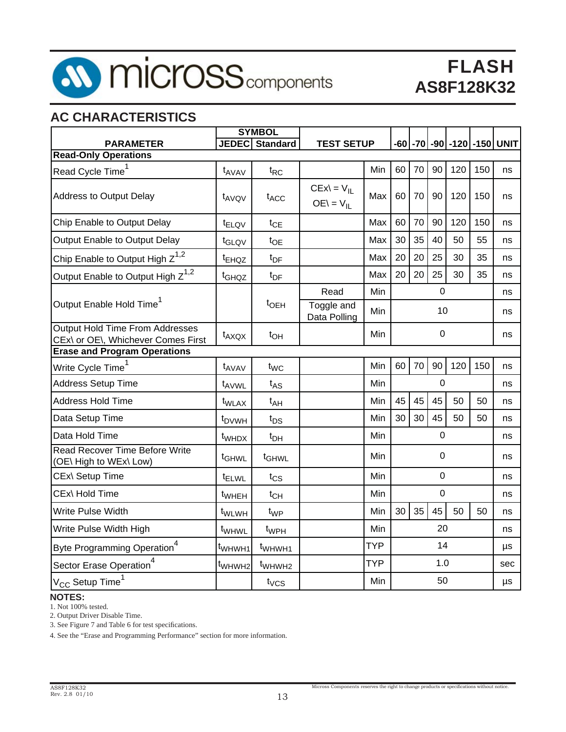

# FLASH **AS8F128K32**

## **AC CHARACTERISTICS**

|                                                                              |                    | <b>SYMBOL</b>      |                                 |            |                  |    |                  |     |     |                                 |
|------------------------------------------------------------------------------|--------------------|--------------------|---------------------------------|------------|------------------|----|------------------|-----|-----|---------------------------------|
| <b>PARAMETER</b>                                                             |                    | JEDEC Standard     | <b>TEST SETUP</b>               |            |                  |    |                  |     |     | -60  -70  -90  -120  -150  UNIT |
| <b>Read-Only Operations</b>                                                  |                    |                    |                                 |            |                  |    |                  |     |     |                                 |
| Read Cycle Time <sup>1</sup>                                                 | t <sub>AVAV</sub>  | $t_{RC}$           |                                 | Min        | 60               | 70 | 90               | 120 | 150 | ns                              |
| <b>Address to Output Delay</b>                                               | t <sub>AVQV</sub>  | t <sub>ACC</sub>   | $CEx = V_{II}$<br>$OE = V_{II}$ | Max        | 60               | 70 | 90               | 120 | 150 | ns                              |
| Chip Enable to Output Delay                                                  | t <sub>ELQV</sub>  | $t_{CE}$           |                                 | Max        | 60               | 70 | 90               | 120 | 150 | ns                              |
| Output Enable to Output Delay                                                | t <sub>GLQV</sub>  | $t_{OE}$           |                                 | Max        | 30               | 35 | 40               | 50  | 55  | ns                              |
| Chip Enable to Output High $Z^{1,2}$                                         | <sup>t</sup> EHQZ  | $t_{DF}$           |                                 | Max        | 20               | 20 | 25               | 30  | 35  | ns                              |
| Output Enable to Output High Z <sup>1,2</sup>                                | t <sub>GHQZ</sub>  | $t_{DF}$           |                                 | Max        | 20               | 20 | 25               | 30  | 35  | ns                              |
|                                                                              |                    |                    | Read                            | Min        |                  |    | $\overline{0}$   |     |     | ns                              |
| Output Enable Hold Time <sup>1</sup>                                         |                    | t <sub>OEH</sub>   | Toggle and<br>Data Polling      | Min        | 10               |    |                  |     | ns  |                                 |
| <b>Output Hold Time From Addresses</b><br>CEx\ or OE\, Whichever Comes First | $t_{AXQX}$         | $t_{OH}$           |                                 | Min        | $\boldsymbol{0}$ |    |                  |     | ns  |                                 |
| <b>Erase and Program Operations</b>                                          |                    |                    |                                 |            |                  |    |                  |     |     |                                 |
| Write Cycle Time <sup>1</sup>                                                | t <sub>AVAV</sub>  | $t_{WC}$           |                                 | Min        | 60               | 70 | 90               | 120 | 150 | ns                              |
| <b>Address Setup Time</b>                                                    | t <sub>AVWL</sub>  | $t_{AS}$           |                                 | Min        |                  |    | $\mathbf 0$      |     |     | ns                              |
| <b>Address Hold Time</b>                                                     | t <sub>WLAX</sub>  | $t_{AH}$           |                                 | Min        | 45               | 45 | 45               | 50  | 50  | ns                              |
| Data Setup Time                                                              | t <sub>DVWH</sub>  | $t_{DS}$           |                                 | Min        | 30               | 30 | 45               | 50  | 50  | ns                              |
| Data Hold Time                                                               | t <sub>WHDX</sub>  | $t_{DH}$           |                                 | Min        |                  |    | $\boldsymbol{0}$ |     |     | ns                              |
| Read Recover Time Before Write<br>(OE\ High to WEx\ Low)                     | t <sub>GHWL</sub>  | t <sub>GHWL</sub>  |                                 | Min        |                  |    | $\mathbf 0$      |     |     | ns                              |
| CEx\ Setup Time                                                              | <sup>t</sup> ELWL  | $t_{CS}$           |                                 | Min        |                  |    | $\boldsymbol{0}$ |     |     | ns                              |
| CEx\ Hold Time                                                               | t <sub>WHEH</sub>  | $t_{CH}$           |                                 | Min        |                  |    | $\boldsymbol{0}$ |     |     | ns                              |
| Write Pulse Width                                                            | t <sub>WLWH</sub>  | $t_{WP}$           |                                 | Min        | 30               | 35 | 45               | 50  | 50  | ns                              |
| Write Pulse Width High                                                       | t <sub>WHWL</sub>  | t <sub>WPH</sub>   |                                 | Min        | 20               |    |                  | ns  |     |                                 |
| Byte Programming Operation <sup>4</sup>                                      | t <sub>WHWH1</sub> | t <sub>WHWH1</sub> |                                 | <b>TYP</b> |                  |    | 14               |     |     | μs                              |
| Sector Erase Operation <sup>4</sup>                                          | t <sub>WHWH2</sub> | t <sub>WHWH2</sub> |                                 | <b>TYP</b> |                  |    | 1.0              |     |     | sec                             |
| $\rm V_{CC}$ Setup Time $^1$                                                 |                    | $t_{VCS}$          |                                 | Min        |                  |    | 50               |     |     | μs                              |

#### **NOTES:**

1. Not 100% tested.

2. Output Driver Disable Time.

3. See Figure 7 and Table 6 for test specifications.

4. See the "Erase and Programming Performance" section for more information.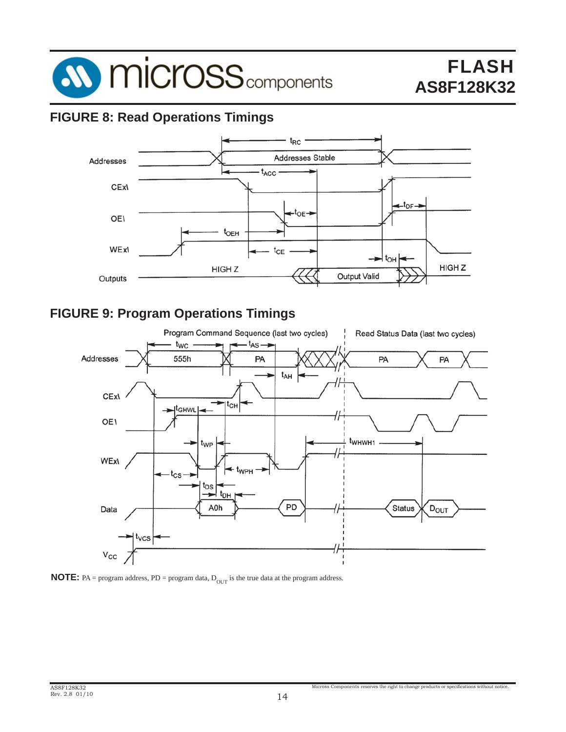

## **FIGURE 8: Read Operations Timings**



## **FIGURE 9: Program Operations Timings**



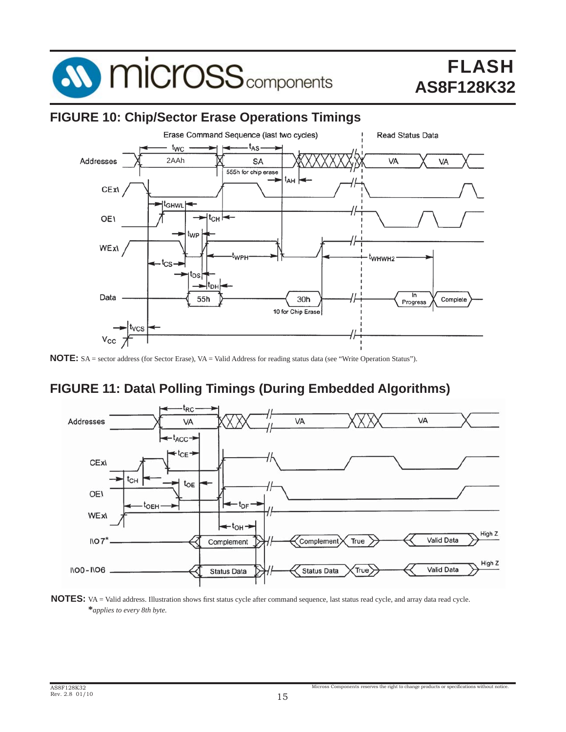

### **FIGURE 10: Chip/Sector Erase Operations Timings**



**NOTE:** SA = sector address (for Sector Erase), VA = Valid Address for reading status data (see "Write Operation Status").

## **FIGURE 11: Data\ Polling Timings (During Embedded Algorithms)**



NOTES: VA = Valid address. Illustration shows first status cycle after command sequence, last status read cycle, and array data read cycle. **\****applies to every 8th byte.*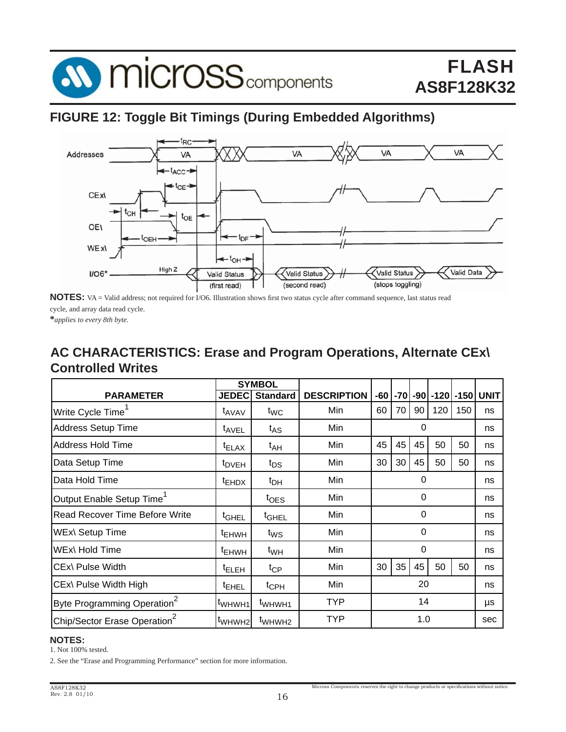

### **FIGURE 12: Toggle Bit Timings (During Embedded Algorithms)**



**NOTES:** VA = Valid address; not required for I/O6. Illustration shows first two status cycle after command sequence, last status read cycle, and array data read cycle.

**\****applies to every 8th byte.*

## **AC CHARACTERISTICS: Erase and Program Operations, Alternate CEx\ Controlled Writes**

|                                          | <b>SYMBOL</b>      |                    |                    |          |    |          |     |     |                        |
|------------------------------------------|--------------------|--------------------|--------------------|----------|----|----------|-----|-----|------------------------|
| <b>PARAMETER</b>                         | <b>JEDEC</b>       | <b>Standard</b>    | <b>DESCRIPTION</b> | -60      |    |          |     |     | -70 -90 -120 -150 UNIT |
| Write Cycle Time                         | t <sub>AVAV</sub>  | $t_{WC}$           | Min                | 60       | 70 | 90       | 120 | 150 | ns                     |
| <b>Address Setup Time</b>                | t <sub>AVEL</sub>  | $t_{AS}$           | Min                |          | 0  |          |     |     | ns                     |
| Address Hold Time                        | $t_{\text{ELAX}}$  | t <sub>AH</sub>    | Min                | 45       | 45 | 45       | 50  | 50  | ns                     |
| Data Setup Time                          | <sup>t</sup> DVEH  | t <sub>DS</sub>    | Min                | 30       | 30 | 45       | 50  | 50  | ns                     |
| Data Hold Time                           | <sup>t</sup> EHDX  | $t_{DH}$           | Min                | $\Omega$ |    |          |     |     | ns                     |
| Output Enable Setup Time                 |                    | $t_{\text{OES}}$   | Min                | 0        |    |          |     | ns  |                        |
| Read Recover Time Before Write           | <sup>t</sup> GHEL  | t <sub>GHEL</sub>  | Min                |          |    | $\Omega$ |     |     | ns                     |
| <b>WEx\ Setup Time</b>                   | <sup>t</sup> EHWH  | $t_{WS}$           | Min                |          |    | $\Omega$ |     |     | ns                     |
| WEx\ Hold Time                           | <sup>t</sup> EHWH  | $t_{WH}$           | Min                |          |    | 0        |     |     | ns                     |
| CEx\ Pulse Width                         | <sup>t</sup> ELEH  | $t_{\text{CP}}$    | Min                | 30       | 35 | 45       | 50  | 50  | ns                     |
| CEx\ Pulse Width High                    | <sup>t</sup> EHEL  | $t_{\text{CPH}}$   | Min                | 20       |    |          |     | ns  |                        |
| Byte Programming Operation <sup>2</sup>  | t <sub>WHWH1</sub> | t <sub>WHWH1</sub> | <b>TYP</b>         | 14       |    |          |     | μs  |                        |
| Chip/Sector Erase Operation <sup>2</sup> | t <sub>WHWH2</sub> | t <sub>WHWH2</sub> | <b>TYP</b>         |          |    | 1.0      |     |     | sec                    |

#### **NOTES:**

1. Not 100% tested.

2. See the "Erase and Programming Performance" section for more information.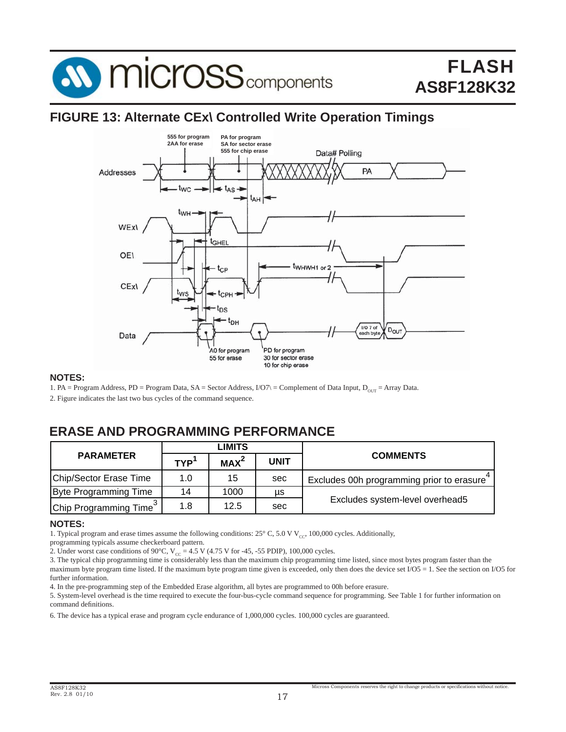

### **FIGURE 13: Alternate CEx\ Controlled Write Operation Timings**



#### **NOTES:**

1. PA = Program Address, PD = Program Data, SA = Sector Address,  $I/O7$  = Complement of Data Input,  $D_{OUT}$  = Array Data.

2. Figure indicates the last two bus cycles of the command sequence.

## **ERASE AND PROGRAMMING PERFORMANCE**

|                                    | LIMITS     |                  |             |                                           |
|------------------------------------|------------|------------------|-------------|-------------------------------------------|
| <b>PARAMETER</b>                   | <b>TYP</b> | MAX <sup>2</sup> | <b>UNIT</b> | <b>COMMENTS</b>                           |
| Chip/Sector Erase Time             | 1.0        | 15               | sec         | Excludes 00h programming prior to erasure |
| <b>Byte Programming Time</b>       | 14         | 1000             | μs          |                                           |
| Chip Programming Time <sup>3</sup> | 1.8        | 12.5             | sec         | Excludes system-level overhead5           |

#### **NOTES:**

1. Typical program and erase times assume the following conditions:  $25^{\circ}$  C, 5.0 V V<sub>cc</sub>, 100,000 cycles. Additionally,

programming typicals assume checkerboard pattern.

2. Under worst case conditions of 90°C,  $V_{CC} = 4.5$  V (4.75 V for -45, -55 PDIP), 100,000 cycles.

3. The typical chip programming time is considerably less than the maximum chip programming time listed, since most bytes program faster than the maximum byte program time listed. If the maximum byte program time given is exceeded, only then does the device set  $I/O5 = 1$ . See the section on I/O5 for further information.

4. In the pre-programming step of the Embedded Erase algorithm, all bytes are programmed to 00h before erasure.

5. System-level overhead is the time required to execute the four-bus-cycle command sequence for programming. See Table 1 for further information on command definitions.

6. The device has a typical erase and program cycle endurance of 1,000,000 cycles. 100,000 cycles are guaranteed.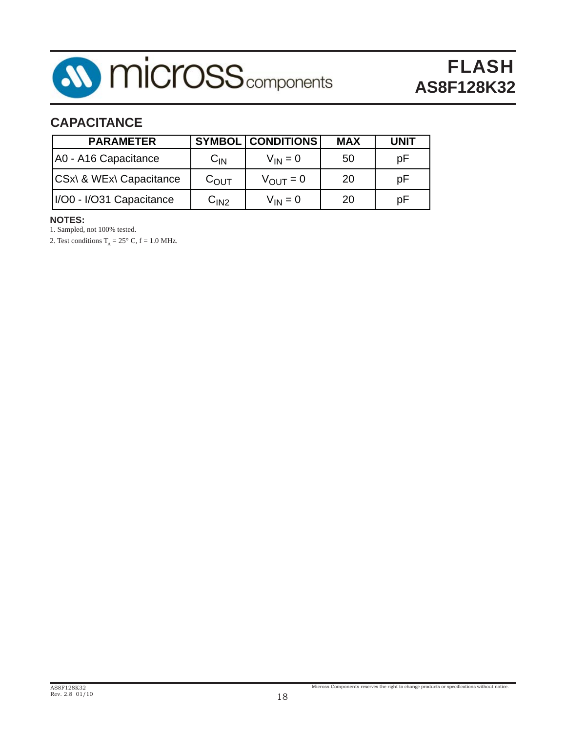

## **CAPACITANCE**

| <b>PARAMETER</b>         |                    | <b>SYMBOL CONDITIONS</b> | <b>MAX</b> | <b>UNIT</b> |
|--------------------------|--------------------|--------------------------|------------|-------------|
| A0 - A16 Capacitance     | $C_{IN}$           | $V_{IN} = 0$             | 50         | рF          |
| CSx\ & WEx\ Capacitance  | $\rm{C_{OUIT}}$    | $V_{OUT} = 0$            | 20         | рF          |
| I/O0 - I/O31 Capacitance | $\mathrm{C_{IN2}}$ | $V_{IN} = 0$             | 20         | рF          |

#### **NOTES:**

1. Sampled, not 100% tested.

2. Test conditions  $T_A = 25^\circ$  C,  $f = 1.0$  MHz.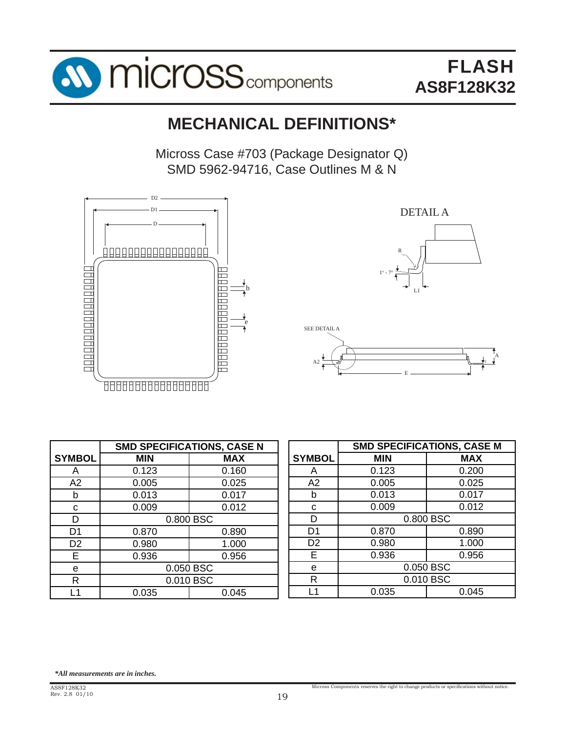

# **MECHANICAL DEFINITIONS\***

Micross Case #703 (Package Designator Q) SMD 5962-94716, Case Outlines M & N







|                | <b>SMD SPECIFICATIONS, CASE N</b> |            |  |
|----------------|-----------------------------------|------------|--|
| <b>SYMBOL</b>  | <b>MIN</b>                        | <b>MAX</b> |  |
| А              | 0.123                             | 0.160      |  |
| A2             | 0.005                             | 0.025      |  |
| b              | 0.013                             | 0.017      |  |
| С              | 0.009                             | 0.012      |  |
| D              | 0.800 BSC                         |            |  |
| D1             | 0.870                             | 0.890      |  |
| D <sub>2</sub> | 0.980                             | 1.000      |  |
| Е              | 0.936                             | 0.956      |  |
| e              | 0.050 BSC                         |            |  |
| R              | 0.010 BSC                         |            |  |
|                | 0.035                             | 0.045      |  |

|                | <b>SMD SPECIFICATIONS, CASE M</b> |            |  |
|----------------|-----------------------------------|------------|--|
| <b>SYMBOL</b>  | <b>MIN</b>                        | <b>MAX</b> |  |
| A              | 0.123                             | 0.200      |  |
| A2             | 0.005                             | 0.025      |  |
| b              | 0.013                             | 0.017      |  |
| С              | 0.009                             | 0.012      |  |
| D              | 0.800 BSC                         |            |  |
| D1             | 0.870                             | 0.890      |  |
| D <sub>2</sub> | 0.980                             | 1.000      |  |
| F              | 0.936                             | 0.956      |  |
| е              | 0.050 BSC                         |            |  |
| R              | 0.010 BSC                         |            |  |
|                | 0.035                             | 0.045      |  |

*\*All measurements are in inches.*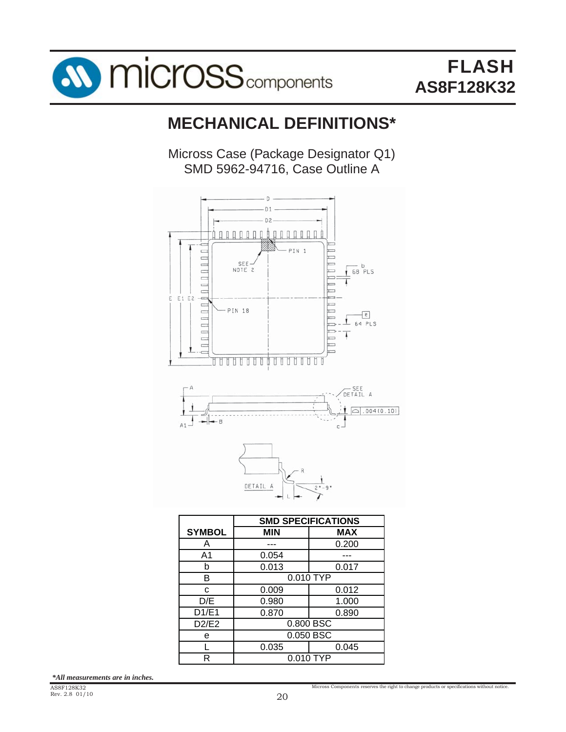

# **MECHANICAL DEFINITIONS\***

Micross Case (Package Designator Q1) SMD 5962-94716, Case Outline A



|               | <b>SMD SPECIFICATIONS</b> |           |  |
|---------------|---------------------------|-----------|--|
| <b>SYMBOL</b> | <b>MIN</b>                | MAX       |  |
| A             |                           | 0.200     |  |
| A1            | 0.054                     |           |  |
| b             | 0.013                     | 0.017     |  |
| B             |                           | 0.010 TYP |  |
| C             | 0.009                     | 0.012     |  |
| D/E           | 0.980                     | 1.000     |  |
| D1/E1         | 0.870                     | 0.890     |  |
| D2/E2         | 0.800 BSC                 |           |  |
| е             | 0.050 BSC                 |           |  |
|               | 0.035                     | 0.045     |  |
| R             | 0.010 TYP                 |           |  |

*\*All measurements are in inches.*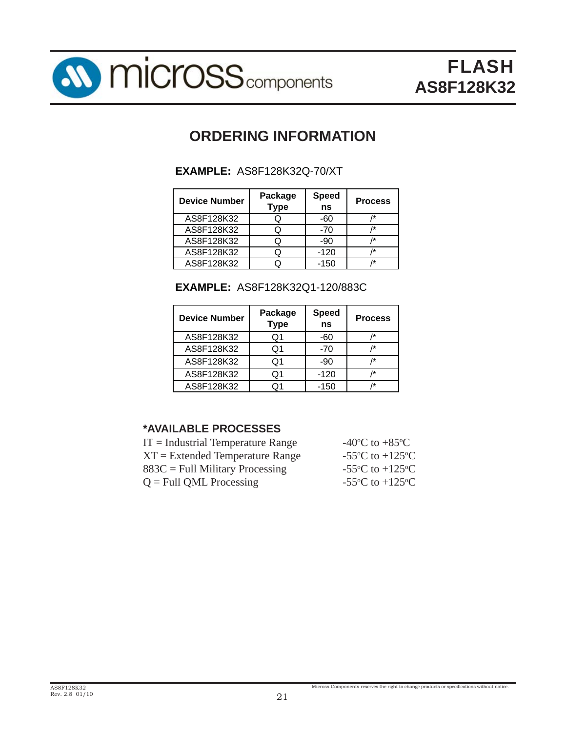

# **ORDERING INFORMATION**

|  | <b>EXAMPLE: AS8F128K32Q-70/XT</b> |
|--|-----------------------------------|
|--|-----------------------------------|

| <b>Device Number</b> | Package<br><b>Type</b> | <b>Speed</b><br>ns | <b>Process</b> |
|----------------------|------------------------|--------------------|----------------|
| AS8F128K32           |                        | -60                | ŀ*             |
| AS8F128K32           |                        | $-70$              |                |
| AS8F128K32           |                        | -90                | /*             |
| AS8F128K32           |                        | $-120$             | /*             |
| AS8F128K32           |                        | $-150$             | /*             |

| <b>Device Number</b> | Package<br><b>Type</b> | <b>Speed</b><br>ns | <b>Process</b> |
|----------------------|------------------------|--------------------|----------------|
| AS8F128K32           | O1                     | -60                | /*             |
| AS8F128K32           | O1                     | -70                | /*             |
| AS8F128K32           | Q1                     | -90                | /*             |
| AS8F128K32           | Q1                     | $-120$             | /*             |
| AS8F128K32           | Ω1                     | $-150$             | /*             |

|  | <b>EXAMPLE: AS8F128K32Q1-120/883C</b> |
|--|---------------------------------------|
|--|---------------------------------------|

#### **\*AVAILABLE PROCESSES**

| $IT = Industrial Temperature Range$ | -40 <sup>o</sup> C to +85 <sup>o</sup> C      |
|-------------------------------------|-----------------------------------------------|
| $XT = Extended Temperature Range$   | -55 $\rm{^{\circ}C}$ to +125 $\rm{^{\circ}C}$ |
| $883C =$ Full Military Processing   | -55 $\rm{^{\circ}C}$ to +125 $\rm{^{\circ}C}$ |
| $Q =$ Full QML Processing           | -55 $\rm{^{\circ}C}$ to +125 $\rm{^{\circ}C}$ |